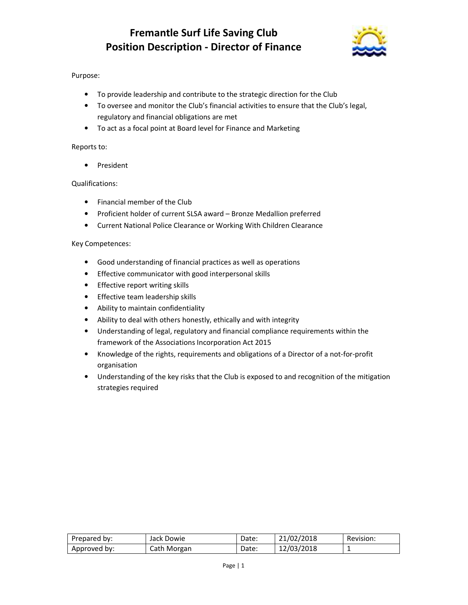

## Purpose:

- To provide leadership and contribute to the strategic direction for the Club
- To oversee and monitor the Club's financial activities to ensure that the Club's legal, regulatory and financial obligations are met
- To act as a focal point at Board level for Finance and Marketing

## Reports to:

• President

## Qualifications:

- Financial member of the Club
- Proficient holder of current SLSA award Bronze Medallion preferred
- Current National Police Clearance or Working With Children Clearance

## Key Competences:

- Good understanding of financial practices as well as operations
- Effective communicator with good interpersonal skills
- Effective report writing skills
- Effective team leadership skills
- Ability to maintain confidentiality
- Ability to deal with others honestly, ethically and with integrity
- Understanding of legal, regulatory and financial compliance requirements within the framework of the Associations Incorporation Act 2015
- Knowledge of the rights, requirements and obligations of a Director of a not-for-profit organisation
- Understanding of the key risks that the Club is exposed to and recognition of the mitigation strategies required

| Prepared by: | Jack Dowie  | Date: | 21/02/2018 | Revision: |
|--------------|-------------|-------|------------|-----------|
| Approved by: | Cath Morgan | Date: | 12/03/2018 |           |